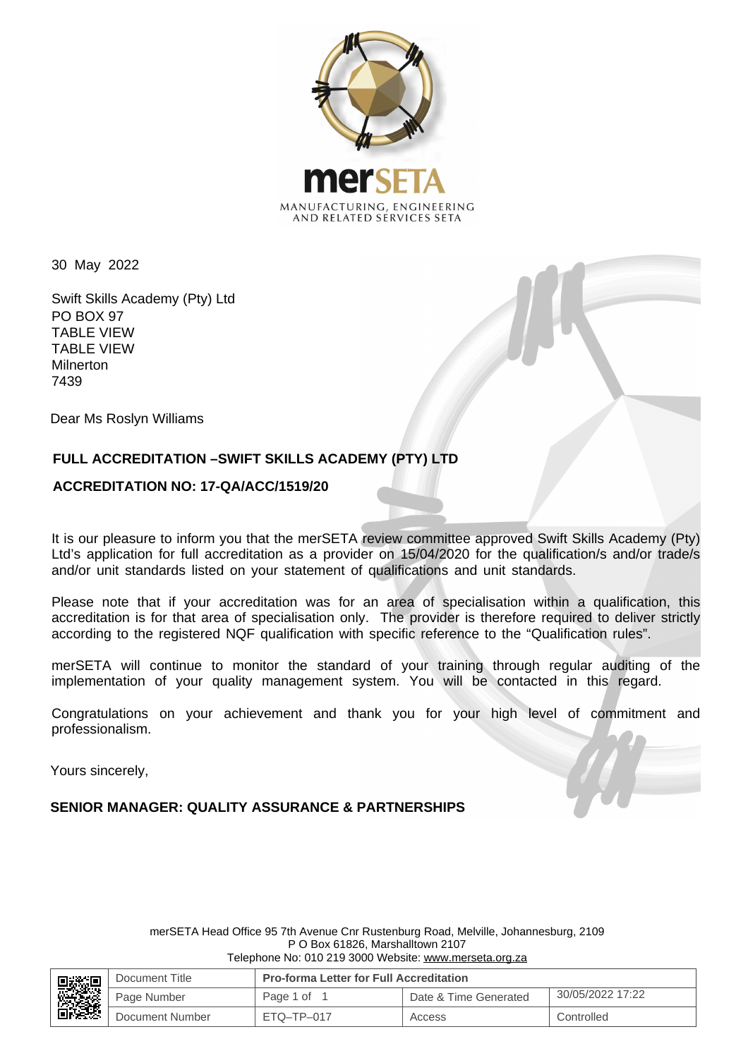

30 May 2022

Swift Skills Academy (Pty) Ltd PO BOX 97 TABLE VIEW TABLE VIEW Milnerton 7439

Dear Ms Roslyn Williams

# **FULL ACCREDITATION –SWIFT SKILLS ACADEMY (PTY) LTD**

## **ACCREDITATION NO: 17-QA/ACC/1519/20**

It is our pleasure to inform you that the merSETA review committee approved Swift Skills Academy (Pty) Ltd's application for full accreditation as a provider on 15/04/2020 for the qualification/s and/or trade/s and/or unit standards listed on your statement of qualifications and unit standards.

Please note that if your accreditation was for an area of specialisation within a qualification, this accreditation is for that area of specialisation only. The provider is therefore required to deliver strictly according to the registered NQF qualification with specific reference to the "Qualification rules".

merSETA will continue to monitor the standard of your training through regular auditing of the implementation of your quality management system. You will be contacted in this regard.

Congratulations on your achievement and thank you for your high level of commitment and professionalism.

Yours sincerely,

**SENIOR MANAGER: QUALITY ASSURANCE & PARTNERSHIPS**

merSETA Head Office 95 7th Avenue Cnr Rustenburg Road, Melville, Johannesburg, 2109 P O Box 61826, Marshalltown 2107 Telephone No: 010 219 3000 Website: www.merseta.org.za

| <b>見数調整の場所</b> | Document Title  | <b>Pro-forma Letter for Full Accreditation</b> |                       |                  |
|----------------|-----------------|------------------------------------------------|-----------------------|------------------|
|                | Page Number     | Page 1 of                                      | Date & Time Generated | 30/05/2022 17:22 |
|                | Document Number | $FTO-TP-017$                                   | Access                | Controlled       |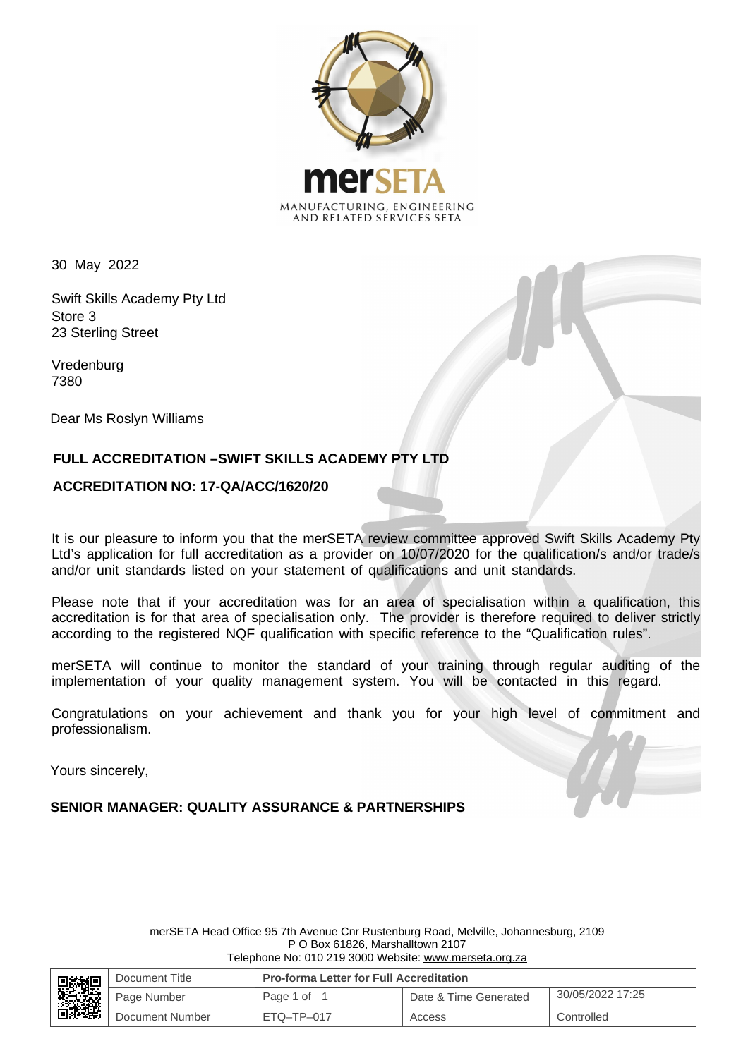

30 May 2022

Swift Skills Academy Pty Ltd Store 3 23 Sterling Street

Vredenburg 7380

Dear Ms Roslyn Williams

# **FULL ACCREDITATION –SWIFT SKILLS ACADEMY PTY LTD**

### **ACCREDITATION NO: 17-QA/ACC/1620/20**

It is our pleasure to inform you that the merSETA review committee approved Swift Skills Academy Pty Ltd's application for full accreditation as a provider on 10/07/2020 for the qualification/s and/or trade/s and/or unit standards listed on your statement of qualifications and unit standards.

Please note that if your accreditation was for an area of specialisation within a qualification, this accreditation is for that area of specialisation only. The provider is therefore required to deliver strictly according to the registered NQF qualification with specific reference to the "Qualification rules".

merSETA will continue to monitor the standard of your training through regular auditing of the implementation of your quality management system. You will be contacted in this regard.

Congratulations on your achievement and thank you for your high level of commitment and professionalism.

Yours sincerely,

**SENIOR MANAGER: QUALITY ASSURANCE & PARTNERSHIPS**

merSETA Head Office 95 7th Avenue Cnr Rustenburg Road, Melville, Johannesburg, 2109 P O Box 61826, Marshalltown 2107 Telephone No: 010 219 3000 Website: www.merseta.org.za

| ■数据<br>高速 | Document Title  | <b>Pro-forma Letter for Full Accreditation</b> |                       |                  |
|-----------|-----------------|------------------------------------------------|-----------------------|------------------|
|           | Page Number     | Page 1 of                                      | Date & Time Generated | 30/05/2022 17:25 |
|           | Document Number | $ETO-TP-017$                                   | Access                | Controlled       |